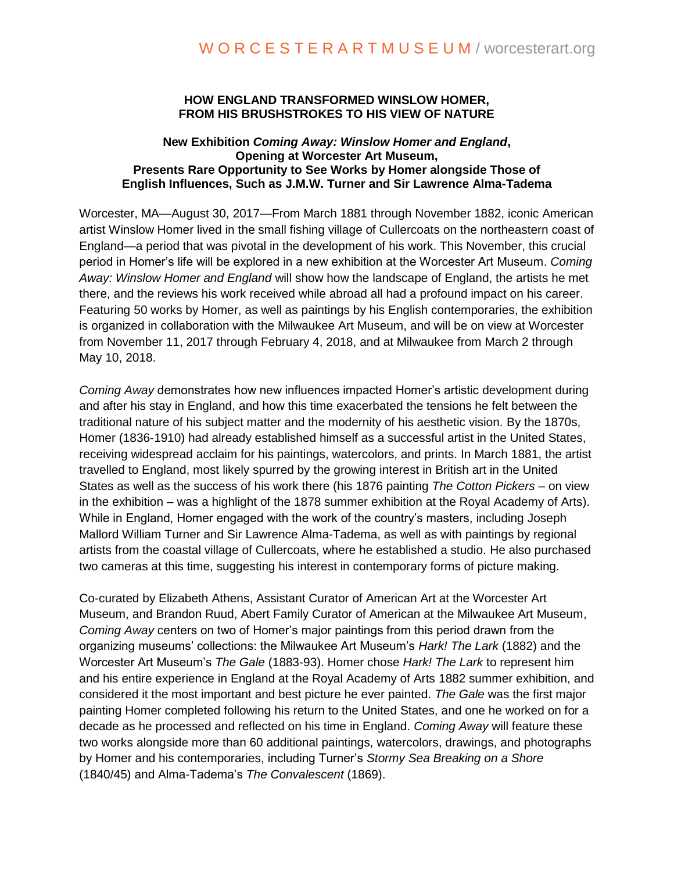### **HOW ENGLAND TRANSFORMED WINSLOW HOMER, FROM HIS BRUSHSTROKES TO HIS VIEW OF NATURE**

#### **New Exhibition** *Coming Away: Winslow Homer and England***, Opening at Worcester Art Museum, Presents Rare Opportunity to See Works by Homer alongside Those of English Influences, Such as J.M.W. Turner and Sir Lawrence Alma-Tadema**

Worcester, MA—August 30, 2017—From March 1881 through November 1882, iconic American artist Winslow Homer lived in the small fishing village of Cullercoats on the northeastern coast of England—a period that was pivotal in the development of his work. This November, this crucial period in Homer's life will be explored in a new exhibition at the Worcester Art Museum. *Coming Away: Winslow Homer and England* will show how the landscape of England, the artists he met there, and the reviews his work received while abroad all had a profound impact on his career. Featuring 50 works by Homer, as well as paintings by his English contemporaries, the exhibition is organized in collaboration with the Milwaukee Art Museum, and will be on view at Worcester from November 11, 2017 through February 4, 2018, and at Milwaukee from March 2 through May 10, 2018.

*Coming Away* demonstrates how new influences impacted Homer's artistic development during and after his stay in England, and how this time exacerbated the tensions he felt between the traditional nature of his subject matter and the modernity of his aesthetic vision. By the 1870s, Homer (1836-1910) had already established himself as a successful artist in the United States, receiving widespread acclaim for his paintings, watercolors, and prints. In March 1881, the artist travelled to England, most likely spurred by the growing interest in British art in the United States as well as the success of his work there (his 1876 painting *The Cotton Pickers* – on view in the exhibition – was a highlight of the 1878 summer exhibition at the Royal Academy of Arts). While in England, Homer engaged with the work of the country's masters, including Joseph Mallord William Turner and Sir Lawrence Alma-Tadema, as well as with paintings by regional artists from the coastal village of Cullercoats, where he established a studio. He also purchased two cameras at this time, suggesting his interest in contemporary forms of picture making.

Co-curated by Elizabeth Athens, Assistant Curator of American Art at the Worcester Art Museum, and Brandon Ruud, Abert Family Curator of American at the Milwaukee Art Museum, *Coming Away* centers on two of Homer's major paintings from this period drawn from the organizing museums' collections: the Milwaukee Art Museum's *Hark! The Lark* (1882) and the Worcester Art Museum's *The Gale* (1883-93). Homer chose *Hark! The Lark* to represent him and his entire experience in England at the Royal Academy of Arts 1882 summer exhibition, and considered it the most important and best picture he ever painted. *The Gale* was the first major painting Homer completed following his return to the United States, and one he worked on for a decade as he processed and reflected on his time in England. *Coming Away* will feature these two works alongside more than 60 additional paintings, watercolors, drawings, and photographs by Homer and his contemporaries, including Turner's *Stormy Sea Breaking on a Shore*  (1840/45) and Alma-Tadema's *The Convalescent* (1869).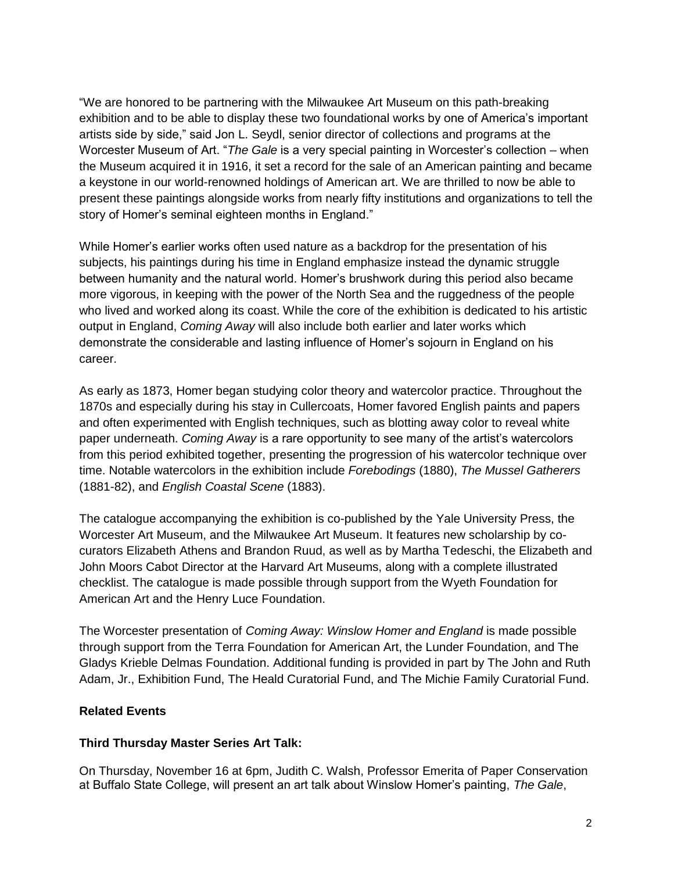"We are honored to be partnering with the Milwaukee Art Museum on this path-breaking exhibition and to be able to display these two foundational works by one of America's important artists side by side," said Jon L. Seydl, senior director of collections and programs at the Worcester Museum of Art. "*The Gale* is a very special painting in Worcester's collection – when the Museum acquired it in 1916, it set a record for the sale of an American painting and became a keystone in our world-renowned holdings of American art. We are thrilled to now be able to present these paintings alongside works from nearly fifty institutions and organizations to tell the story of Homer's seminal eighteen months in England."

While Homer's earlier works often used nature as a backdrop for the presentation of his subjects, his paintings during his time in England emphasize instead the dynamic struggle between humanity and the natural world. Homer's brushwork during this period also became more vigorous, in keeping with the power of the North Sea and the ruggedness of the people who lived and worked along its coast. While the core of the exhibition is dedicated to his artistic output in England, *Coming Away* will also include both earlier and later works which demonstrate the considerable and lasting influence of Homer's sojourn in England on his career.

As early as 1873, Homer began studying color theory and watercolor practice. Throughout the 1870s and especially during his stay in Cullercoats, Homer favored English paints and papers and often experimented with English techniques, such as blotting away color to reveal white paper underneath. *Coming Away* is a rare opportunity to see many of the artist's watercolors from this period exhibited together, presenting the progression of his watercolor technique over time. Notable watercolors in the exhibition include *Forebodings* (1880), *The Mussel Gatherers* (1881-82), and *English Coastal Scene* (1883).

The catalogue accompanying the exhibition is co-published by the Yale University Press, the Worcester Art Museum, and the Milwaukee Art Museum. It features new scholarship by cocurators Elizabeth Athens and Brandon Ruud, as well as by Martha Tedeschi, the Elizabeth and John Moors Cabot Director at the Harvard Art Museums, along with a complete illustrated checklist. The catalogue is made possible through support from the Wyeth Foundation for American Art and the Henry Luce Foundation.

The Worcester presentation of *Coming Away: Winslow Homer and England* is made possible through support from the Terra Foundation for American Art, the Lunder Foundation, and The Gladys Krieble Delmas Foundation. Additional funding is provided in part by The John and Ruth Adam, Jr., Exhibition Fund, The Heald Curatorial Fund, and The Michie Family Curatorial Fund.

### **Related Events**

# **Third Thursday Master Series Art Talk:**

On Thursday, November 16 at 6pm, Judith C. Walsh, Professor Emerita of Paper Conservation at Buffalo State College, will present an art talk about Winslow Homer's painting, *The Gale*,